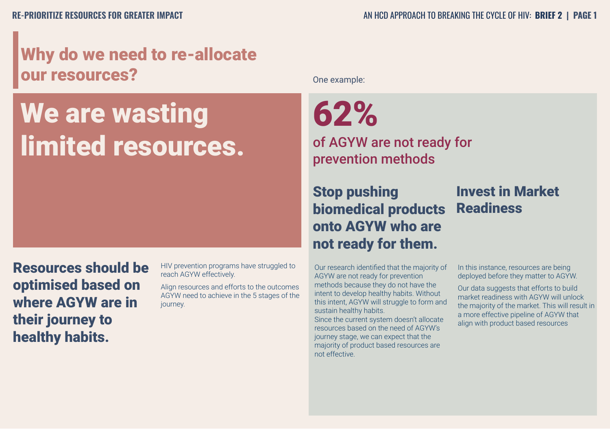## Why do we need to re-allocate our resources?

## We are wasting limited resources.

Resources should be optimised based on where AGYW are in their journey to healthy habits.

HIV prevention programs have struggled to reach AGYW effectively.

Align resources and efforts to the outcomes AGYW need to achieve in the 5 stages of the journey.

One example:

62%

of AGYW are not ready for prevention methods

Stop pushing biomedical products onto AGYW who are not ready for them.

Our research identified that the majority of AGYW are not ready for prevention methods because they do not have the intent to develop healthy habits. Without this intent, AGYW will struggle to form and sustain healthy habits.

Since the current system doesn't allocate resources based on the need of AGYW's journey stage, we can expect that the majority of product based resources are not effective.

## Invest in Market Readiness

In this instance, resources are being deployed before they matter to AGYW.

Our data suggests that efforts to build market readiness with AGYW will unlock the majority of the market. This will result in a more effective pipeline of AGYW that align with product based resources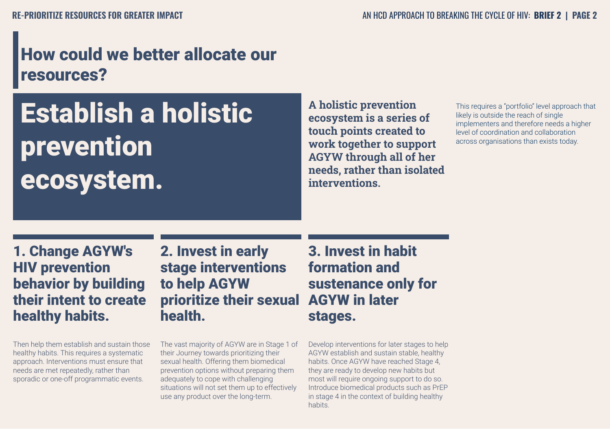## How could we better allocate our resources?

# Establish a holistic prevention ecosystem.

**A holistic prevention ecosystem is a series of touch points created to work together to support AGYW through all of her needs, rather than isolated interventions.** 

This requires a "portfolio" level approach that likely is outside the reach of single implementers and therefore needs a higher level of coordination and collaboration across organisations than exists today.

1. Change AGYW's HIV prevention behavior by building their intent to create healthy habits.

Then help them establish and sustain those healthy habits. This requires a systematic approach. Interventions must ensure that needs are met repeatedly, rather than sporadic or one-off programmatic events.

2. Invest in early stage interventions to help AGYW prioritize their sexual AGYW in later health.

The vast majority of AGYW are in Stage 1 of The vast majority of AGYW are in Stage<br>their Journey towards prioritizing their sexual health. Offering them biomedical prevention options without preparing them adequately to cope with challenging situations will not set them up to effectively use any product over the long-term.

3. Invest in habit formation and sustenance only for stages.

Develop interventions for later stages to help AGYW establish and sustain stable, healthy habits. Once AGYW have reached Stage 4, they are ready to develop new habits but most will require ongoing support to do so. Introduce biomedical products such as PrEP in stage 4 in the context of building healthy habits.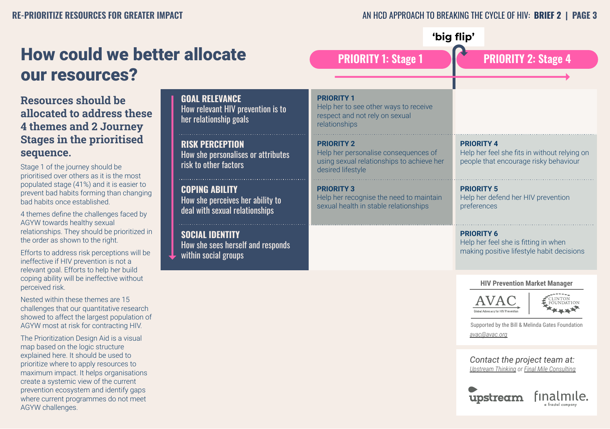where current programmes do not meet

AGYW challenges.

#### **RE-PRIORITIZE RESOURCES FOR GREATER IMPACT AN HOD APPROACH TO BREAKING THE CYCLE OF HIV: <b>BRIEF 2** | **PAGE 3**

finalmile.

upstream